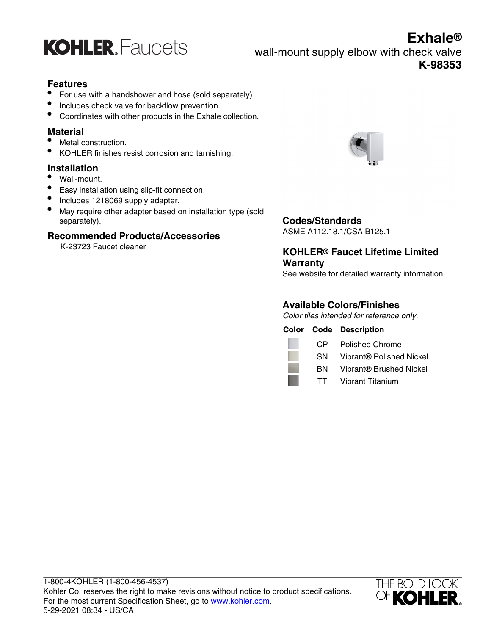

**Exhale®** wall-mount supply elbow with check valve **K-98353**

### **Features**

- For use with a handshower and hose (sold separately).
- Includes check valve for backflow prevention.
- Coordinates with other products in the Exhale collection.

#### **Material**

- Metal construction.
- KOHLER finishes resist corrosion and tarnishing.

### **Installation**

- Wall-mount.
- Easy installation using slip-fit connection.
- Includes 1218069 supply adapter.
- May require other adapter based on installation type (sold separately).

### **Recommended Products/Accessories**

K-23723 Faucet cleaner



### **Codes/Standards**

ASME A112.18.1/CSA B125.1

### **KOHLER® Faucet Lifetime Limited Warranty**

See website for detailed warranty information.

### **Available Colors/Finishes**

Color tiles intended for reference only.

|      | <b>Color Code Description</b> |
|------|-------------------------------|
| CP — | Polished Chrome               |
| SN.  | Vibrant® Polished Nickel      |
| вN.  | Vibrant® Brushed Nickel       |
| TT.  | Vibrant Titanium              |